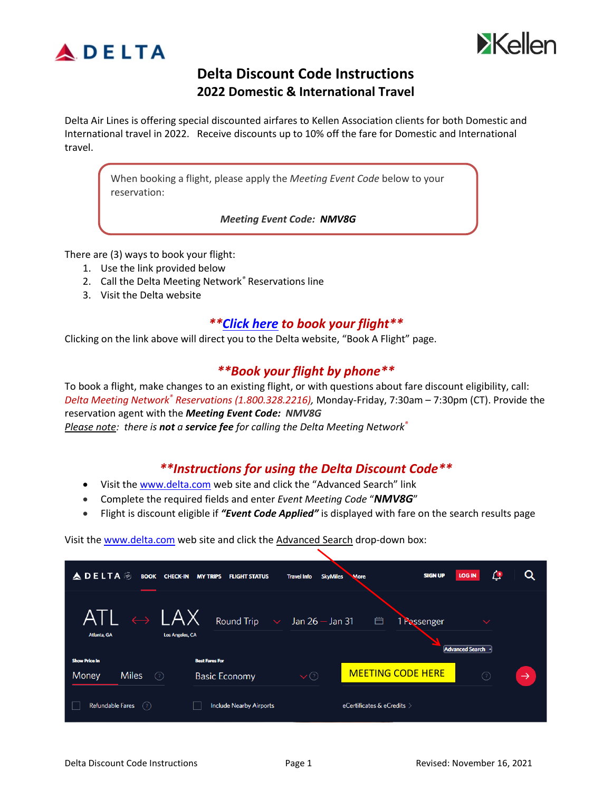



## **Delta Discount Code Instructions 2022 Domestic & International Travel**

Delta Air Lines is offering special discounted airfares to Kellen Association clients for both Domestic and International travel in 2022. Receive discounts up to 10% off the fare for Domestic and International travel.

When booking a flight, please apply the *Meeting Event Code* below to your reservation:

*Meeting Event Code: NMV8G*

There are (3) ways to book your flight:

- 1. Use the link provided below
- 2. Call the Delta Meeting Network*®* Reservations line
- 3. Visit the Delta website

#### *\*[\\*Click here](https://www.delta.com/flight-search/book-a-flight?cacheKeySuffix=3ae11f7b-7eb6-494c-93ed-33467ecd13c9) to book your flight\*\**

Clicking on the link above will direct you to the Delta website, "Book A Flight" page.

#### *\*\*Book your flight by phone\*\**

To book a flight, make changes to an existing flight, or with questions about fare discount eligibility, call: *Delta Meeting Network® Reservations (1.800.328.2216),* Monday-Friday, 7:30am – 7:30pm (CT). Provide the reservation agent with the *Meeting Event Code: NMV8G Please note: there is not a service fee for calling the Delta Meeting Network®*

### *\*\*Instructions for using the Delta Discount Code\*\**

- Visit the [www.delta.com](http://www.delta.com/) web site and click the "Advanced Search" link
- Complete the required fields and enter *Event Meeting Code* "*NMV8G*"
- Flight is discount eligible if *"Event Code Applied"* is displayed with fare on the search results page

Visit the [www.delta.com](http://www.delta.com/) web site and click the Advanced Search drop-down box:

| <b>ADELTA</b><br><b>BOOK</b><br><b>CHECK-IN</b> | <b>MY TRIPS</b><br><b>FLIGHT STATUS</b>                                                                               | <b>SkyMiles</b><br><b>Travel Info</b><br><b>More</b> | $\mathcal{L}^3$<br><b>SIGN UP</b><br><b>LOG IN</b> | Q             |
|-------------------------------------------------|-----------------------------------------------------------------------------------------------------------------------|------------------------------------------------------|----------------------------------------------------|---------------|
| <b>Los Angeles, CA</b><br>Atlanta, GA           | $\overline{\mathsf{ATL}} \; \leftrightarrow \; \overline{\mathsf{LAX}} \;$ Round Trip $\; \; \vee \;$ Jan 26 – Jan 31 | 白                                                    | 1 Passenger<br>$\checkmark$<br>Advanced Search ^   |               |
| <b>Show Price In</b>                            | <b>Best Fares For</b>                                                                                                 |                                                      |                                                    |               |
| <b>Miles</b><br>Money<br>(?)                    | <b>Basic Economy</b>                                                                                                  | <b>MEETING CODE HERE</b><br>$\vee$ $\odot$           | $\odot$                                            | $\rightarrow$ |
| <b>Refundable Fares</b><br>(?)                  | <b>Include Nearby Airports</b>                                                                                        | eCertificates & eCredits >                           |                                                    |               |